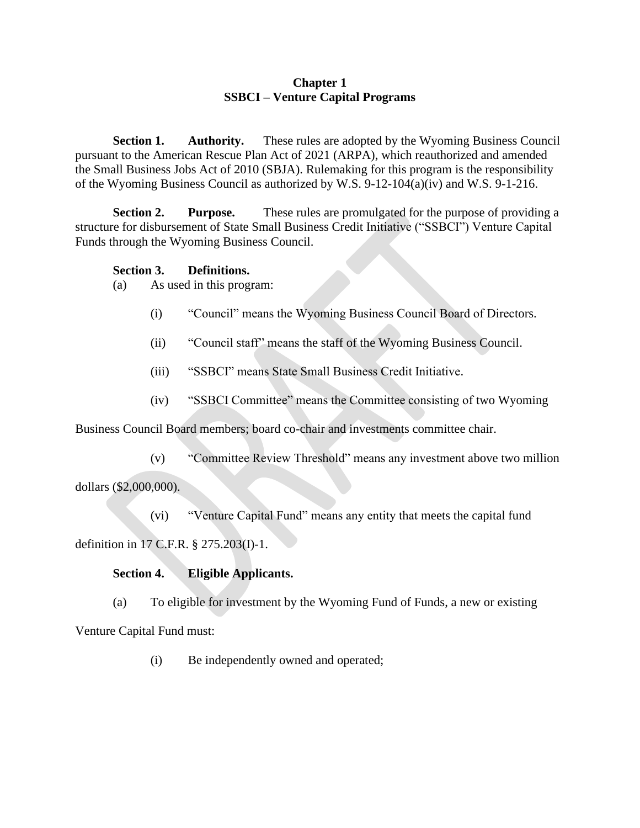# **Chapter 1 SSBCI – Venture Capital Programs**

**Section 1. Authority.** These rules are adopted by the Wyoming Business Council pursuant to the American Rescue Plan Act of 2021 (ARPA), which reauthorized and amended the Small Business Jobs Act of 2010 (SBJA). Rulemaking for this program is the responsibility of the Wyoming Business Council as authorized by W.S. 9-12-104(a)(iv) and W.S. 9-1-216.

**Section 2. Purpose.** These rules are promulgated for the purpose of providing a structure for disbursement of State Small Business Credit Initiative ("SSBCI") Venture Capital Funds through the Wyoming Business Council.

# **Section 3. Definitions.**

- (a) As used in this program:
	- (i) "Council" means the Wyoming Business Council Board of Directors.
	- (ii) "Council staff" means the staff of the Wyoming Business Council.
	- (iii) "SSBCI" means State Small Business Credit Initiative.
	- (iv) "SSBCI Committee" means the Committee consisting of two Wyoming

Business Council Board members; board co-chair and investments committee chair.

(v) "Committee Review Threshold" means any investment above two million

dollars (\$2,000,000).

(vi) "Venture Capital Fund" means any entity that meets the capital fund

definition in 17 C.F.R. § 275.203(I)-1.

## **Section 4. Eligible Applicants.**

(a) To eligible for investment by the Wyoming Fund of Funds, a new or existing

Venture Capital Fund must:

(i) Be independently owned and operated;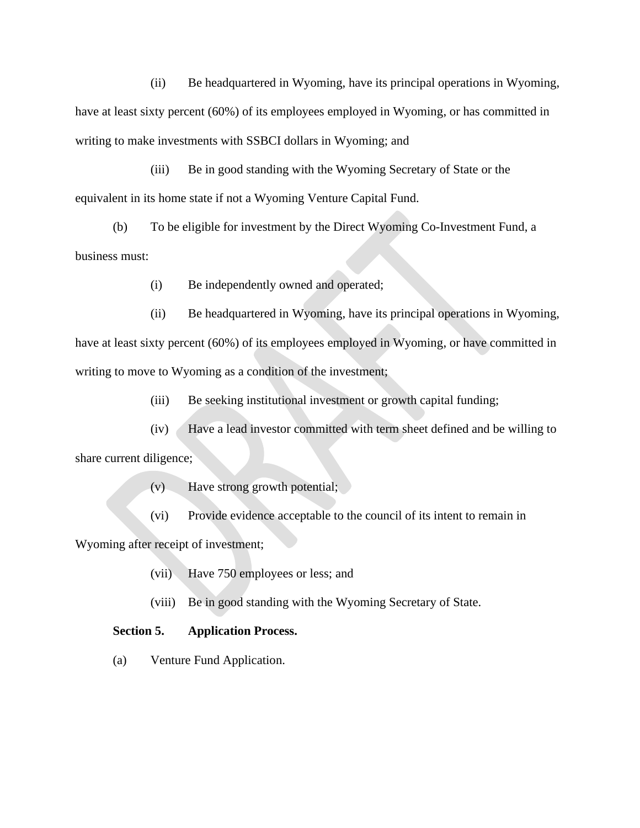(ii) Be headquartered in Wyoming, have its principal operations in Wyoming, have at least sixty percent (60%) of its employees employed in Wyoming, or has committed in writing to make investments with SSBCI dollars in Wyoming; and

(iii) Be in good standing with the Wyoming Secretary of State or the equivalent in its home state if not a Wyoming Venture Capital Fund.

(b) To be eligible for investment by the Direct Wyoming Co-Investment Fund, a business must:

(i) Be independently owned and operated;

(ii) Be headquartered in Wyoming, have its principal operations in Wyoming, have at least sixty percent (60%) of its employees employed in Wyoming, or have committed in writing to move to Wyoming as a condition of the investment;

(iii) Be seeking institutional investment or growth capital funding;

(iv) Have a lead investor committed with term sheet defined and be willing to share current diligence;

(v) Have strong growth potential;

(vi) Provide evidence acceptable to the council of its intent to remain in

Wyoming after receipt of investment;

(vii) Have 750 employees or less; and

(viii) Be in good standing with the Wyoming Secretary of State.

### **Section 5. Application Process.**

(a) Venture Fund Application.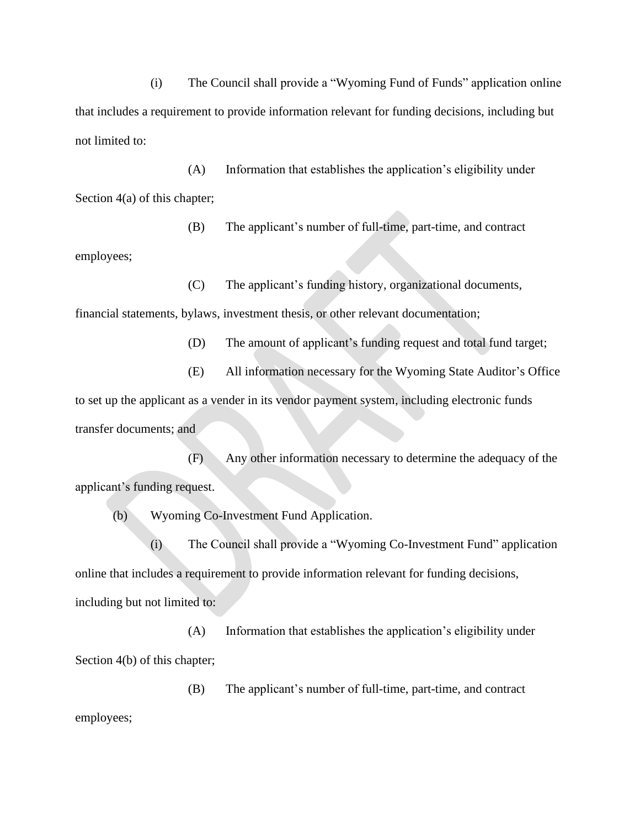(i) The Council shall provide a "Wyoming Fund of Funds" application online that includes a requirement to provide information relevant for funding decisions, including but not limited to:

(A) Information that establishes the application's eligibility under Section 4(a) of this chapter;

(B) The applicant's number of full-time, part-time, and contract

employees;

(C) The applicant's funding history, organizational documents,

financial statements, bylaws, investment thesis, or other relevant documentation;

- (D) The amount of applicant's funding request and total fund target;
- (E) All information necessary for the Wyoming State Auditor's Office

to set up the applicant as a vender in its vendor payment system, including electronic funds transfer documents; and

(F) Any other information necessary to determine the adequacy of the applicant's funding request.

(b) Wyoming Co-Investment Fund Application.

(i) The Council shall provide a "Wyoming Co-Investment Fund" application online that includes a requirement to provide information relevant for funding decisions, including but not limited to:

(A) Information that establishes the application's eligibility under Section 4(b) of this chapter;

(B) The applicant's number of full-time, part-time, and contract

employees;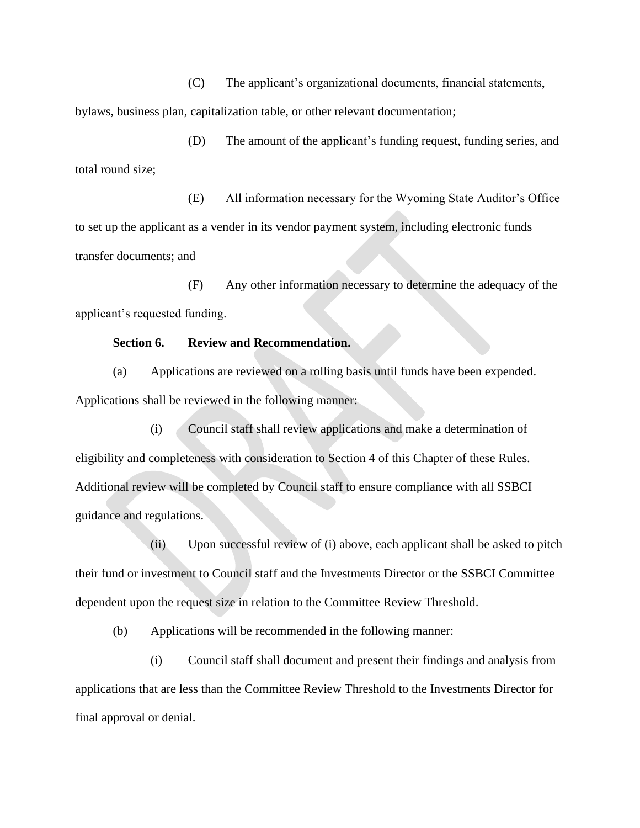(C) The applicant's organizational documents, financial statements, bylaws, business plan, capitalization table, or other relevant documentation;

(D) The amount of the applicant's funding request, funding series, and total round size;

(E) All information necessary for the Wyoming State Auditor's Office to set up the applicant as a vender in its vendor payment system, including electronic funds transfer documents; and

(F) Any other information necessary to determine the adequacy of the applicant's requested funding.

#### **Section 6. Review and Recommendation.**

(a) Applications are reviewed on a rolling basis until funds have been expended. Applications shall be reviewed in the following manner:

(i) Council staff shall review applications and make a determination of eligibility and completeness with consideration to Section 4 of this Chapter of these Rules. Additional review will be completed by Council staff to ensure compliance with all SSBCI guidance and regulations.

(ii) Upon successful review of (i) above, each applicant shall be asked to pitch their fund or investment to Council staff and the Investments Director or the SSBCI Committee dependent upon the request size in relation to the Committee Review Threshold.

(b) Applications will be recommended in the following manner:

(i) Council staff shall document and present their findings and analysis from applications that are less than the Committee Review Threshold to the Investments Director for final approval or denial.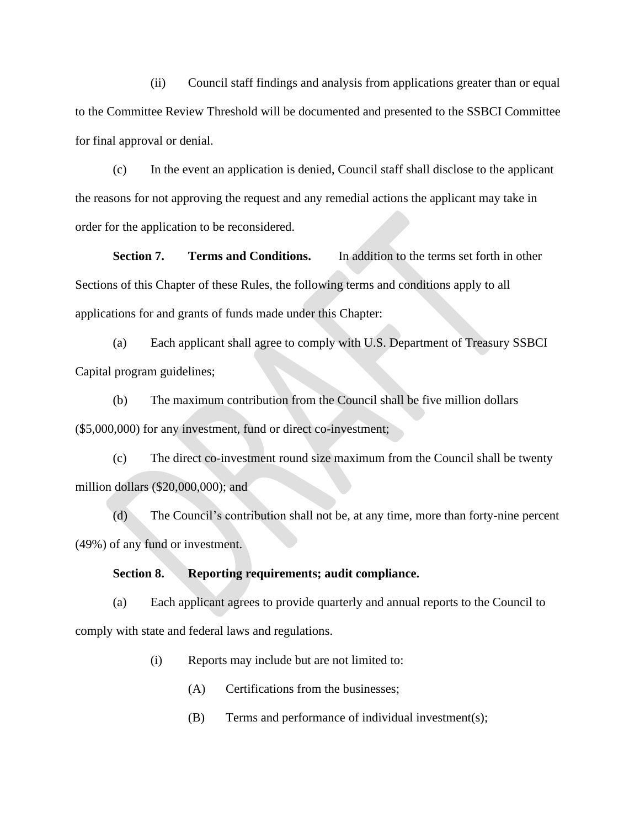(ii) Council staff findings and analysis from applications greater than or equal to the Committee Review Threshold will be documented and presented to the SSBCI Committee for final approval or denial.

(c) In the event an application is denied, Council staff shall disclose to the applicant the reasons for not approving the request and any remedial actions the applicant may take in order for the application to be reconsidered.

**Section 7. Terms and Conditions.** In addition to the terms set forth in other Sections of this Chapter of these Rules, the following terms and conditions apply to all applications for and grants of funds made under this Chapter:

(a) Each applicant shall agree to comply with U.S. Department of Treasury SSBCI Capital program guidelines;

(b) The maximum contribution from the Council shall be five million dollars (\$5,000,000) for any investment, fund or direct co-investment;

(c) The direct co-investment round size maximum from the Council shall be twenty million dollars (\$20,000,000); and

(d) The Council's contribution shall not be, at any time, more than forty-nine percent (49%) of any fund or investment.

### **Section 8. Reporting requirements; audit compliance.**

(a) Each applicant agrees to provide quarterly and annual reports to the Council to comply with state and federal laws and regulations.

(i) Reports may include but are not limited to:

- (A) Certifications from the businesses;
- (B) Terms and performance of individual investment(s);